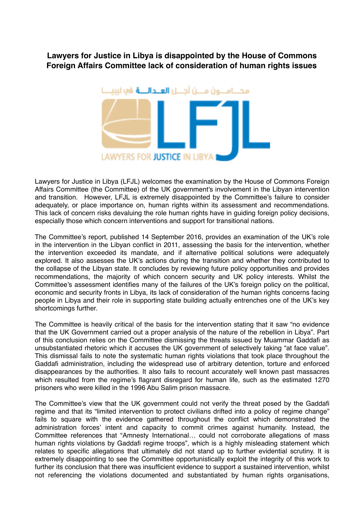## **Lawyers for Justice in Libya is disappointed by the House of Commons Foreign Affairs Committee lack of consideration of human rights issues**



Lawyers for Justice in Libya (LFJL) welcomes the examination by the House of Commons Foreign Affairs Committee (the Committee) of the UK government's involvement in the Libyan intervention and transition. However, LFJL is extremely disappointed by the Committee's failure to consider adequately, or place importance on, human rights within its assessment and recommendations. This lack of concern risks devaluing the role human rights have in guiding foreign policy decisions, especially those which concern interventions and support for transitional nations.

The Committee's report, published 14 September 2016, provides an examination of the UK's role in the intervention in the Libyan conflict in 2011, assessing the basis for the intervention, whether the intervention exceeded its mandate, and if alternative political solutions were adequately explored. It also assesses the UK's actions during the transition and whether they contributed to the collapse of the Libyan state. It concludes by reviewing future policy opportunities and provides recommendations, the majority of which concern security and UK policy interests. Whilst the Committee's assessment identifies many of the failures of the UK's foreign policy on the political, economic and security fronts in Libya, its lack of consideration of the human rights concerns facing people in Libya and their role in supporting state building actually entrenches one of the UK's key shortcomings further.

The Committee is heavily critical of the basis for the intervention stating that it saw "no evidence that the UK Government carried out a proper analysis of the nature of the rebellion in Libya". Part of this conclusion relies on the Committee dismissing the threats issued by Muammar Gaddafi as unsubstantiated rhetoric which it accuses the UK government of selectively taking "at face value". This dismissal fails to note the systematic human rights violations that took place throughout the Gaddafi administration, including the widespread use of arbitrary detention, torture and enforced disappearances by the authorities. It also fails to recount accurately well known past massacres which resulted from the regime's flagrant disregard for human life, such as the estimated 1270 prisoners who were killed in the 1996 Abu Salim prison massacre.

The Committee's view that the UK government could not verify the threat posed by the Gaddafi regime and that its "limited intervention to protect civilians drifted into a policy of regime change" fails to square with the evidence gathered throughout the conflict which demonstrated the administration forces' intent and capacity to commit crimes against humanity. Instead, the Committee references that "Amnesty International… could not corroborate allegations of mass human rights violations by Gaddafi regime troops", which is a highly misleading statement which relates to specific allegations that ultimately did not stand up to further evidential scrutiny. It is extremely disappointing to see the Committee opportunistically exploit the integrity of this work to further its conclusion that there was insufficient evidence to support a sustained intervention, whilst not referencing the violations documented and substantiated by human rights organisations,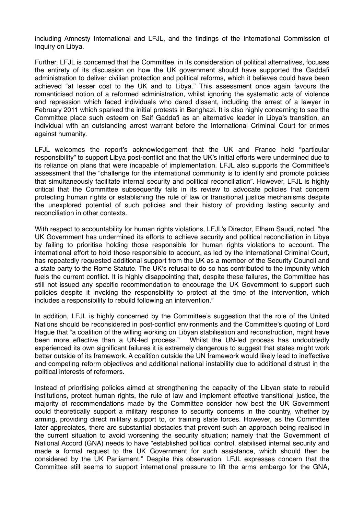including Amnesty International and LFJL, and the findings of the International Commission of Inquiry on Libya.

Further, LFJL is concerned that the Committee, in its consideration of political alternatives, focuses the entirety of its discussion on how the UK government should have supported the Gaddafi administration to deliver civilian protection and political reforms, which it believes could have been achieved "at lesser cost to the UK and to Libya." This assessment once again favours the romanticised notion of a reformed administration, whilst ignoring the systematic acts of violence and repression which faced individuals who dared dissent, including the arrest of a lawyer in February 2011 which sparked the initial protests in Benghazi. It is also highly concerning to see the Committee place such esteem on Saif Gaddafi as an alternative leader in Libya's transition, an individual with an outstanding arrest warrant before the International Criminal Court for crimes against humanity.

LFJL welcomes the report's acknowledgement that the UK and France hold "particular responsibility" to support Libya post-conflict and that the UK's initial efforts were undermined due to its reliance on plans that were incapable of implementation. LFJL also supports the Committee's assessment that the "challenge for the international community is to identify and promote policies that simultaneously facilitate internal security and political reconciliation". However, LFJL is highly critical that the Committee subsequently fails in its review to advocate policies that concern protecting human rights or establishing the rule of law or transitional justice mechanisms despite the unexplored potential of such policies and their history of providing lasting security and reconciliation in other contexts.

With respect to accountability for human rights violations, LFJL's Director, Elham Saudi, noted, "the UK Government has undermined its efforts to achieve security and political reconciliation in Libya by failing to prioritise holding those responsible for human rights violations to account. The international effort to hold those responsible to account, as led by the International Criminal Court, has repeatedly requested additional support from the UK as a member of the Security Council and a state party to the Rome Statute. The UK's refusal to do so has contributed to the impunity which fuels the current conflict. It is highly disappointing that, despite these failures, the Committee has still not issued any specific recommendation to encourage the UK Government to support such policies despite it invoking the responsibility to protect at the time of the intervention, which includes a responsibility to rebuild following an intervention."

In addition, LFJL is highly concerned by the Committee's suggestion that the role of the United Nations should be reconsidered in post-conflict environments and the Committee's quoting of Lord Hague that "a coalition of the willing working on Libyan stabilisation and reconstruction, might have been more effective than a UN-led process." Whilst the UN-led process has undoubtedly experienced its own significant failures it is extremely dangerous to suggest that states might work better outside of its framework. A coalition outside the UN framework would likely lead to ineffective and competing reform objectives and additional national instability due to additional distrust in the political interests of reformers.

Instead of prioritising policies aimed at strengthening the capacity of the Libyan state to rebuild institutions, protect human rights, the rule of law and implement effective transitional justice, the majority of recommendations made by the Committee consider how best the UK Government could theoretically support a military response to security concerns in the country, whether by arming, providing direct military support to, or training state forces. However, as the Committee later appreciates, there are substantial obstacles that prevent such an approach being realised in the current situation to avoid worsening the security situation; namely that the Government of National Accord (GNA) needs to have "established political control, stabilised internal security and made a formal request to the UK Government for such assistance, which should then be considered by the UK Parliament." Despite this observation, LFJL expresses concern that the Committee still seems to support international pressure to lift the arms embargo for the GNA,